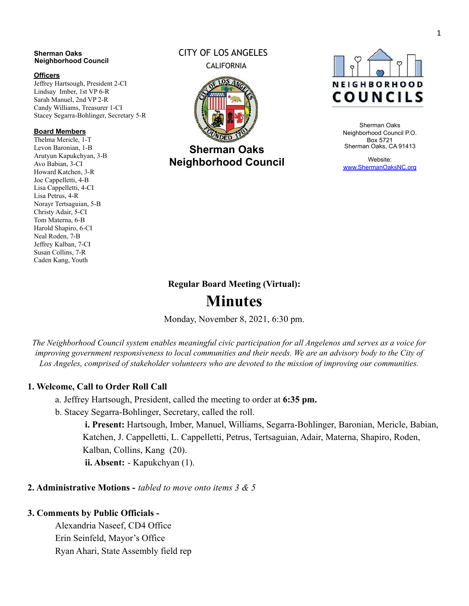#### **Sherman Oaks Neighborhood Council**

#### **Officers**

Jeffrey Hartsough, President 2-CI Lindsay Imber, 1st VP 6-R Sarah Manuel, 2nd VP 2-R Candy Williams, Treasurer 1-CI Stacey Segarra-Bohlinger, Secretary 5-R

#### **Board Members**

Thelma Mericle, 1-T Levon Baronian, 1-B Arutyun Kapukchyan, 3-B Avo Babian, 3-CI Howard Katchen, 3-R Joe Cappelletti, 4-B Lisa Cappelletti, 4-CI Lisa Petrus, 4-R Norayr Tertsaguian, 5-B Christy Adair, 5-CI Tom Materna, 6-B Harold Shapiro, 6-CI Neal Roden, 7-B Jeffrey Kalban, 7-CI Susan Collins, 7-R Caden Kang, Youth

# CITY OF LOS ANGELES CALIFORNIA



**Sherman Oaks Neighborhood Council**



Sherman Oaks Neighborhood Council P.O. Box 5721 Sherman Oaks, CA 91413

Website: [www.ShermanOaksNC.org](http://www.shermanoaksnc.org/)

# **Regular Board Meeting (Virtual):**

# **Minutes**

Monday, November 8, 2021, 6:30 pm.

The Neighborhood Council system enables meaningful civic participation for all Angelenos and serves as a voice for improving government responsiveness to local communities and their needs. We are an advisory body to the City of *Los Angeles, comprised of stakeholder volunteers who are devoted to the mission of improving our communities.*

# **1. Welcome, Call to Order Roll Call**

a. Jeffrey Hartsough, President, called the meeting to order at **6:35 pm.**

b. Stacey Segarra-Bohlinger, Secretary, called the roll.

**i. Present:** Hartsough, Imber, Manuel, Williams, Segarra-Bohlinger, Baronian, Mericle, Babian, Katchen, J. Cappelletti, L. Cappelletti, Petrus, Tertsaguian, Adair, Materna, Shapiro, Roden, Kalban, Collins, Kang (20).

**ii. Absent:** - Kapukchyan (1).

# **2. Administrative Motions -** *tabled to move onto items 3 & 5*

# **3. Comments by Public Officials -**

Alexandria Naseef, CD4 Office Erin Seinfeld, Mayor's Office Ryan Ahari, State Assembly field rep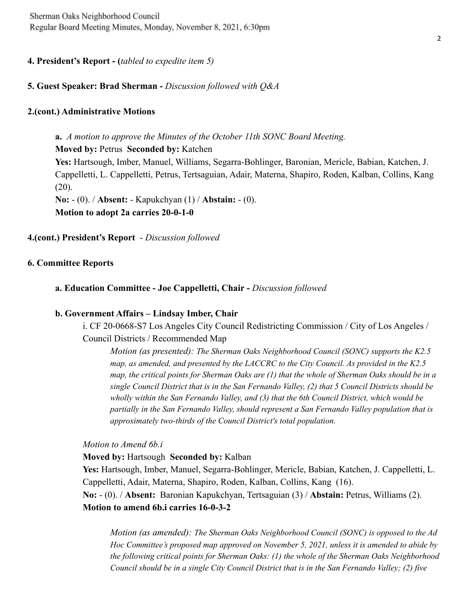**4. President's Report - (***tabled to expedite item 5)*

# **5. Guest Speaker: Brad Sherman -** *Discussion followed with Q&A*

# **2.(cont.) Administrative Motions**

**a.** *A motion to approve the Minutes of the October 11th SONC Board Meeting.* **Moved by:** Petrus **Seconded by:** Katchen **Yes:** Hartsough, Imber, Manuel, Williams, Segarra-Bohlinger, Baronian, Mericle, Babian, Katchen, J. Cappelletti, L. Cappelletti, Petrus, Tertsaguian, Adair, Materna, Shapiro, Roden, Kalban, Collins, Kang  $(20)$ . **No:** - (0). / **Absent:** - Kapukchyan (1) / **Abstain:** - (0). **Motion to adopt 2a carries 20-0-1-0**

# **4.(cont.) President's Report** - *Discussion followed*

## **6. Committee Reports**

**a. Education Committee - Joe Cappelletti, Chair -** *Discussion followed*

## **b. Government Affairs – Lindsay Imber, Chair**

i. CF 20-0668-S7 Los Angeles City Council Redistricting Commission / City of Los Angeles / Council Districts / Recommended Map

*Motion (as presented): The Sherman Oaks Neighborhood Council (SONC) supports the K2.5 map, as amended, and presented by the LACCRC to the City Council. As provided in the K2.5* map, the critical points for Sherman Oaks are (1) that the whole of Sherman Oaks should be in a *single Council District that is in the San Fernando Valley, (2) that 5 Council Districts should be wholly within the San Fernando Valley, and (3) that the 6th Council District, which would be partially in the San Fernando Valley, should represent a San Fernando Valley population that is approximately two-thirds of the Council District's total population.*

*Motion to Amend 6b.i*

**Moved by:** Hartsough **Seconded by:** Kalban

**Yes:** Hartsough, Imber, Manuel, Segarra-Bohlinger, Mericle, Babian, Katchen, J. Cappelletti, L. Cappelletti, Adair, Materna, Shapiro, Roden, Kalban, Collins, Kang (16). **No:** - (0). / **Absent:** Baronian Kapukchyan, Tertsaguian (3) / **Abstain:** Petrus, Williams (2). **Motion to amend 6b.i carries 16-0-3-2**

*Motion (as amended): The Sherman Oaks Neighborhood Council (SONC) is opposed to the Ad Hoc Committee's proposed map approved on November 5, 2021, unless it is amended to abide by the following critical points for Sherman Oaks: (1) the whole of the Sherman Oaks Neighborhood Council should be in a single City Council District that is in the San Fernando Valley; (2) five*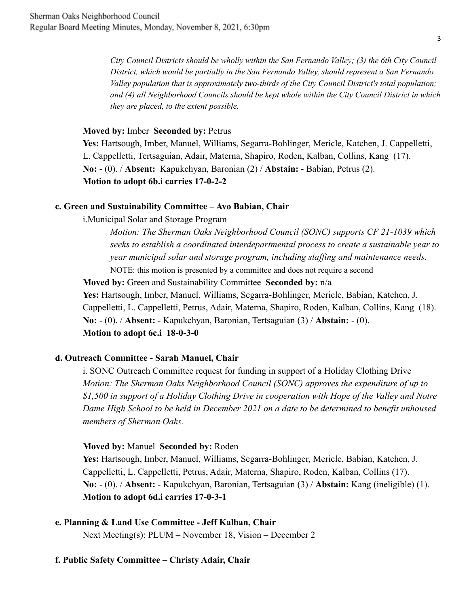*City Council Districts should be wholly within the San Fernando Valley; (3) the 6th City Council District, which would be partially in the San Fernando Valley, should represent a San Fernando Valley population that is approximately two-thirds of the City Council District's total population; and (4) all Neighborhood Councils should be kept whole within the City Council District in which they are placed, to the extent possible.*

# **Moved by:** Imber **Seconded by:** Petrus

**Yes:** Hartsough, Imber, Manuel, Williams, Segarra-Bohlinger, Mericle, Katchen, J. Cappelletti, L. Cappelletti, Tertsaguian, Adair, Materna, Shapiro, Roden, Kalban, Collins, Kang (17). **No:** - (0). / **Absent:** Kapukchyan, Baronian (2) / **Abstain:** - Babian, Petrus (2). **Motion to adopt 6b.i carries 17-0-2-2**

#### **c. Green and Sustainability Committee – Avo Babian, Chair**

i.Municipal Solar and Storage Program

*Motion: The Sherman Oaks Neighborhood Council (SONC) supports CF 21-1039 which seeks to establish a coordinated interdepartmental process to create a sustainable year to year municipal solar and storage program, including staffing and maintenance needs.* NOTE: this motion is presented by a committee and does not require a second

**Moved by:** Green and Sustainability Committee **Seconded by:** n/a

**Yes:** Hartsough, Imber, Manuel, Williams, Segarra-Bohlinger, Mericle, Babian, Katchen, J. Cappelletti, L. Cappelletti, Petrus, Adair, Materna, Shapiro, Roden, Kalban, Collins, Kang (18). **No:** - (0). / **Absent:** - Kapukchyan, Baronian, Tertsaguian (3) / **Abstain:** - (0). **Motion to adopt 6c.i 18-0-3-0**

## **d. Outreach Committee - Sarah Manuel, Chair**

i. SONC Outreach Committee request for funding in support of a Holiday Clothing Drive *Motion: The Sherman Oaks Neighborhood Council (SONC) approves the expenditure of up to \$1,500 in support of a Holiday Clothing Drive in cooperation with Hope of the Valley and Notre Dame High School to be held in December 2021 on a date to be determined to benefit unhoused members of Sherman Oaks.*

#### **Moved by:** Manuel **Seconded by:** Roden

**Yes:** Hartsough, Imber, Manuel, Williams, Segarra-Bohlinger, Mericle, Babian, Katchen, J. Cappelletti, L. Cappelletti, Petrus, Adair, Materna, Shapiro, Roden, Kalban, Collins (17). **No:** - (0). / **Absent:** - Kapukchyan, Baronian, Tertsaguian (3) / **Abstain:** Kang (ineligible) (1). **Motion to adopt 6d.i carries 17-0-3-1**

**e. Planning & Land Use Committee - Jeff Kalban, Chair**

Next Meeting(s): PLUM – November 18, Vision – December 2

# **f. Public Safety Committee – Christy Adair, Chair**